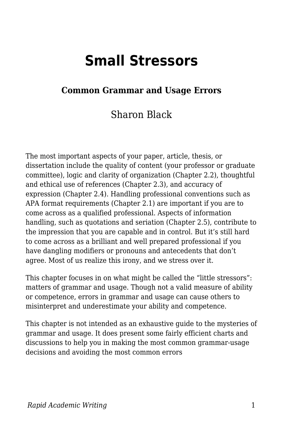# **Small Stressors**

## **Common Grammar and Usage Errors**

## Sharon Black

The most important aspects of your paper, article, thesis, or dissertation include the quality of content (your professor or graduate committee), logic and clarity of organization (Chapter 2.2), thoughtful and ethical use of references (Chapter 2.3), and accuracy of expression (Chapter 2.4). Handling professional conventions such as APA format requirements (Chapter 2.1) are important if you are to come across as a qualified professional. Aspects of information handling, such as quotations and seriation (Chapter 2.5), contribute to the impression that you are capable and in control. But it's still hard to come across as a brilliant and well prepared professional if you have dangling modifiers or pronouns and antecedents that don't agree. Most of us realize this irony, and we stress over it.

This chapter focuses in on what might be called the "little stressors": matters of grammar and usage. Though not a valid measure of ability or competence, errors in grammar and usage can cause others to misinterpret and underestimate your ability and competence.

This chapter is not intended as an exhaustive guide to the mysteries of grammar and usage. It does present some fairly efficient charts and discussions to help you in making the most common grammar-usage decisions and avoiding the most common errors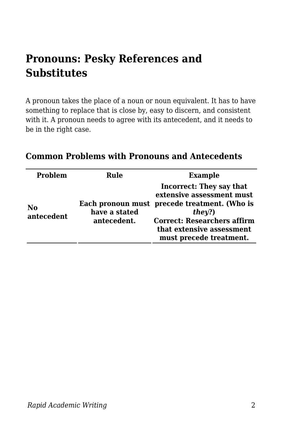# **Pronouns: Pesky References and Substitutes**

A pronoun takes the place of a noun or noun equivalent. It has to have something to replace that is close by, easy to discern, and consistent with it. A pronoun needs to agree with its antecedent, and it needs to be in the right case.

| <b>Problem</b>   | Rule                         | <b>Example</b>                                                                                                                                                                                                       |
|------------------|------------------------------|----------------------------------------------------------------------------------------------------------------------------------------------------------------------------------------------------------------------|
| No<br>antecedent | have a stated<br>antecedent. | <b>Incorrect: They say that</b><br>extensive assessment must<br>Each pronoun must precede treatment. (Who is<br>they?)<br><b>Correct: Researchers affirm</b><br>that extensive assessment<br>must precede treatment. |

#### **Common Problems with Pronouns and Antecedents**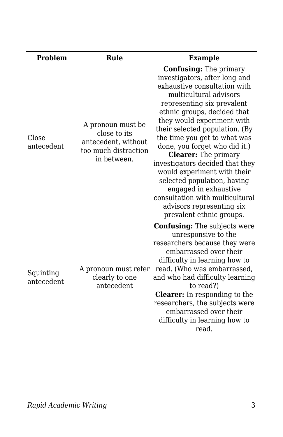| <b>Problem</b>          | Rule                                                                                            | <b>Example</b>                                                                                                                                                                                                                                                                                                                                                                                                                                                                                                                                                              |
|-------------------------|-------------------------------------------------------------------------------------------------|-----------------------------------------------------------------------------------------------------------------------------------------------------------------------------------------------------------------------------------------------------------------------------------------------------------------------------------------------------------------------------------------------------------------------------------------------------------------------------------------------------------------------------------------------------------------------------|
| Close<br>antecedent     | A pronoun must be<br>close to its<br>antecedent, without<br>too much distraction<br>in between. | <b>Confusing:</b> The primary<br>investigators, after long and<br>exhaustive consultation with<br>multicultural advisors<br>representing six prevalent<br>ethnic groups, decided that<br>they would experiment with<br>their selected population. (By<br>the time you get to what was<br>done, you forget who did it.)<br><b>Clearer:</b> The primary<br>investigators decided that they<br>would experiment with their<br>selected population, having<br>engaged in exhaustive<br>consultation with multicultural<br>advisors representing six<br>prevalent ethnic groups. |
| Squinting<br>antecedent | A pronoun must refer<br>clearly to one<br>antecedent                                            | <b>Confusing:</b> The subjects were<br>unresponsive to the<br>researchers because they were<br>embarrassed over their<br>difficulty in learning how to<br>read. (Who was embarrassed,<br>and who had difficulty learning<br>to read?)<br><b>Clearer:</b> In responding to the<br>researchers, the subjects were<br>embarrassed over their<br>difficulty in learning how to<br>read.                                                                                                                                                                                         |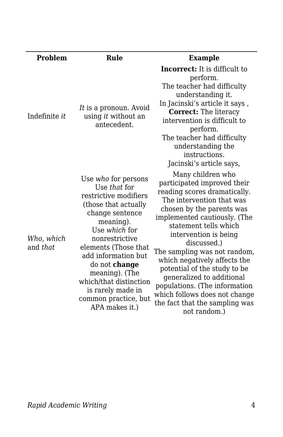| <b>Problem</b>         | Rule                                                                                                                                                                                                                                                                                                                               | <b>Example</b>                                                                                                                                                                                                                                                                                                                                                                                                                                                                               |
|------------------------|------------------------------------------------------------------------------------------------------------------------------------------------------------------------------------------------------------------------------------------------------------------------------------------------------------------------------------|----------------------------------------------------------------------------------------------------------------------------------------------------------------------------------------------------------------------------------------------------------------------------------------------------------------------------------------------------------------------------------------------------------------------------------------------------------------------------------------------|
| Indefinite <i>it</i>   | It is a pronoun. Avoid<br>using it without an<br>antecedent.                                                                                                                                                                                                                                                                       | <b>Incorrect:</b> It is difficult to<br>perform.<br>The teacher had difficulty<br>understanding it.<br>In Jacinski's article it says,<br><b>Correct:</b> The literacy<br>intervention is difficult to<br>perform.<br>The teacher had difficulty<br>understanding the<br>instructions.<br>Jacinski's article says,                                                                                                                                                                            |
| Who, which<br>and that | Use who for persons<br>Use that for<br>restrictive modifiers<br>(those that actually<br>change sentence<br>meaning).<br>Use which for<br>nonrestrictive<br>elements (Those that<br>add information but<br>do not change<br>meaning). (The<br>which/that distinction<br>is rarely made in<br>common practice, but<br>APA makes it.) | Many children who<br>participated improved their<br>reading scores dramatically.<br>The intervention that was<br>chosen by the parents was<br>implemented cautiously. (The<br>statement tells which<br>intervention is being<br>discussed.)<br>The sampling was not random,<br>which negatively affects the<br>potential of the study to be<br>generalized to additional<br>populations. (The information<br>which follows does not change<br>the fact that the sampling was<br>not random.) |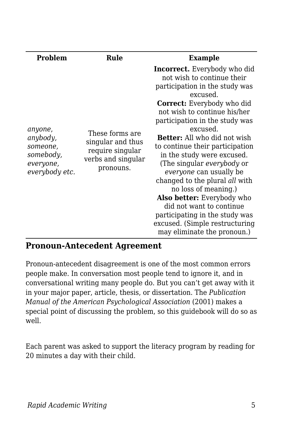| <b>Problem</b>                                                              | Rule                                                                                        | <b>Example</b>                                                                                                                                                                                                                                                                                                                                                                                                                                                                                                                                                                                                                                  |
|-----------------------------------------------------------------------------|---------------------------------------------------------------------------------------------|-------------------------------------------------------------------------------------------------------------------------------------------------------------------------------------------------------------------------------------------------------------------------------------------------------------------------------------------------------------------------------------------------------------------------------------------------------------------------------------------------------------------------------------------------------------------------------------------------------------------------------------------------|
| anyone,<br>anybody,<br>someone,<br>somebody,<br>everyone,<br>everybody etc. | These forms are<br>singular and thus<br>require singular<br>verbs and singular<br>pronouns. | <b>Incorrect.</b> Everybody who did<br>not wish to continue their<br>participation in the study was<br>excused.<br><b>Correct:</b> Everybody who did<br>not wish to continue his/her<br>participation in the study was<br>excused.<br><b>Better:</b> All who did not wish<br>to continue their participation<br>in the study were excused.<br>(The singular <i>everybody</i> or<br><i>everyone</i> can usually be<br>changed to the plural all with<br>no loss of meaning.)<br><b>Also better:</b> Everybody who<br>did not want to continue<br>participating in the study was<br>excused. (Simple restructuring<br>may eliminate the pronoun.) |

### **Pronoun-Antecedent Agreement**

Pronoun-antecedent disagreement is one of the most common errors people make. In conversation most people tend to ignore it, and in conversational writing many people do. But you can't get away with it in your major paper, article, thesis, or dissertation. The *Publication Manual of the American Psychological Association* (2001) makes a special point of discussing the problem, so this guidebook will do so as well.

Each parent was asked to support the literacy program by reading for 20 minutes a day with their child.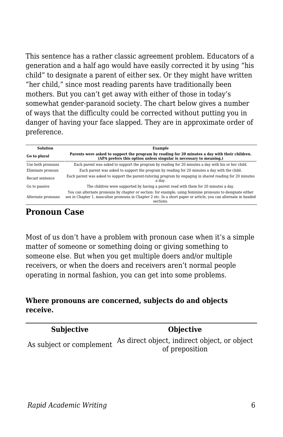This sentence has a rather classic agreement problem. Educators of a generation and a half ago would have easily corrected it by using "his child" to designate a parent of either sex. Or they might have written "her child," since most reading parents have traditionally been mothers. But you can't get away with either of those in today's somewhat gender-paranoid society. The chart below gives a number of ways that the difficulty could be corrected without putting you in danger of having your face slapped. They are in approximate order of preference.

| <b>Solution</b>    | <b>Example</b>                                                                                                                                                                                                                             |  |
|--------------------|--------------------------------------------------------------------------------------------------------------------------------------------------------------------------------------------------------------------------------------------|--|
| Go to plural       | Parents were asked to support the program by reading for 20 minutes a day with their children.<br>(APA prefers this option unless singular is necessary to meaning.)                                                                       |  |
| Use both pronouns  | Each parent was asked to support the program by reading for 20 minutes a day with his or her child.                                                                                                                                        |  |
| Eliminate pronoun  | Each parent was asked to support the program by reading for 20 minutes a day with the child.                                                                                                                                               |  |
| Recast sentence    | Each parent was asked to support the parent-tutoring program by engaging in shared reading for 20 minutes<br>a dav.                                                                                                                        |  |
| Go to passive      | The children were supported by having a parent read with them for 20 minutes a day.                                                                                                                                                        |  |
| Alternate pronouns | You can alternate pronouns by chapter or section: for example, using feminine pronouns to designate either<br>sex in Chapter 1, masculine pronouns in Chapter 2 etc. In a short paper or article, you can alternate in headed<br>sections. |  |

## **Pronoun Case**

Most of us don't have a problem with pronoun case when it's a simple matter of someone or something doing or giving something to someone else. But when you get multiple doers and/or multiple receivers, or when the doers and receivers aren't normal people operating in normal fashion, you can get into some problems.

#### **Where pronouns are concerned, subjects do and objects receive.**

| <b>Subjective</b>        | <b>Objective</b>                             |
|--------------------------|----------------------------------------------|
| As subject or complement | As direct object, indirect object, or object |
|                          | of preposition                               |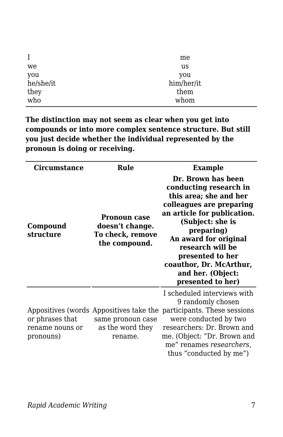| $\bf{I}$  | me         |
|-----------|------------|
| we        | us         |
| you       | you        |
| he/she/it | him/her/it |
| they      | them       |
| who       | whom       |

**The distinction may not seem as clear when you get into compounds or into more complex sentence structure. But still you just decide whether the individual represented by the pronoun is doing or receiving.**

| Circumstance                                    | Rule                                                                                        | Example                                                                                                                                                                                                                                                                                                   |
|-------------------------------------------------|---------------------------------------------------------------------------------------------|-----------------------------------------------------------------------------------------------------------------------------------------------------------------------------------------------------------------------------------------------------------------------------------------------------------|
| Compound<br>structure                           | <b>Pronoun case</b><br>doesn't change.<br>To check, remove<br>the compound.                 | Dr. Brown has been<br>conducting research in<br>this area; she and her<br>colleagues are preparing<br>an article for publication.<br>(Subject: she is<br>preparing)<br>An award for original<br>research will be<br>presented to her<br>coauthor, Dr. McArthur,<br>and her. (Object:<br>presented to her) |
| or phrases that<br>rename nouns or<br>pronouns) | Appositives (words Appositives take the<br>same pronoun case<br>as the word they<br>rename. | I scheduled interviews with<br>9 randomly chosen<br>participants. These sessions<br>were conducted by two<br>researchers: Dr. Brown and<br>me. (Object: "Dr. Brown and<br>me" renames researchers,<br>thus "conducted by me")                                                                             |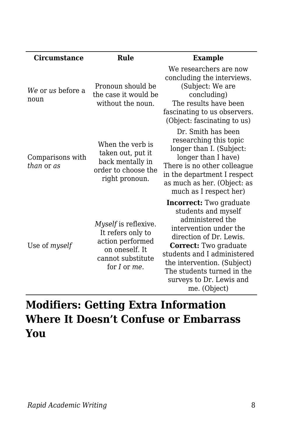| <b>Circumstance</b>            | Rule                                                                                                                 | <b>Example</b>                                                                                                                                                                                                                                                                                  |
|--------------------------------|----------------------------------------------------------------------------------------------------------------------|-------------------------------------------------------------------------------------------------------------------------------------------------------------------------------------------------------------------------------------------------------------------------------------------------|
| We or us before a<br>noun      | Pronoun should be<br>the case it would be<br>without the noun.                                                       | We researchers are now<br>concluding the interviews.<br>(Subject: We are<br>concluding)<br>The results have been<br>fascinating to us observers.<br>(Object: fascinating to us)                                                                                                                 |
| Comparisons with<br>than or as | When the verb is<br>taken out, put it<br>back mentally in<br>order to choose the<br>right pronoun.                   | Dr. Smith has been<br>researching this topic<br>longer than I. (Subject:<br>longer than I have)<br>There is no other colleague<br>in the department I respect<br>as much as her. (Object: as<br>much as I respect her)                                                                          |
| Use of myself                  | Myself is reflexive.<br>It refers only to<br>action performed<br>on oneself. It<br>cannot substitute<br>for I or me. | <b>Incorrect:</b> Two graduate<br>students and myself<br>administered the<br>intervention under the<br>direction of Dr. Lewis.<br>Correct: Two graduate<br>students and I administered<br>the intervention. (Subject)<br>The students turned in the<br>surveys to Dr. Lewis and<br>me. (Object) |

# **Modifiers: Getting Extra Information Where It Doesn't Confuse or Embarrass You**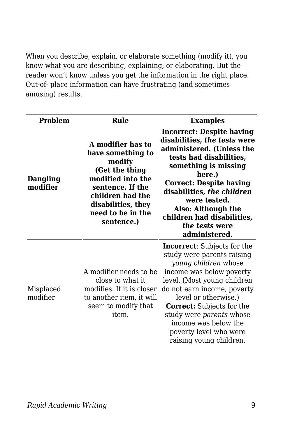When you describe, explain, or elaborate something (modify it), you know what you are describing, explaining, or elaborating. But the reader won't know unless you get the information in the right place. Out-of- place information can have frustrating (and sometimes amusing) results.

| Problem               | Rule                                                                                                                                                                                     | <b>Examples</b>                                                                                                                                                                                                                                                                                                                                         |
|-----------------------|------------------------------------------------------------------------------------------------------------------------------------------------------------------------------------------|---------------------------------------------------------------------------------------------------------------------------------------------------------------------------------------------------------------------------------------------------------------------------------------------------------------------------------------------------------|
| Dangling<br>modifier  | A modifier has to<br>have something to<br>modify<br>(Get the thing<br>modified into the<br>sentence. If the<br>children had the<br>disabilities, they<br>need to be in the<br>sentence.) | <b>Incorrect: Despite having</b><br>disabilities, the tests were<br>administered. (Unless the<br>tests had disabilities,<br>something is missing<br>here.)<br><b>Correct: Despite having</b><br>disabilities, the children<br>were tested.<br>Also: Although the<br>children had disabilities,<br>the tests were<br>administered.                       |
| Misplaced<br>modifier | A modifier needs to be<br>close to what it<br>modifies. If it is closer<br>to another item, it will<br>seem to modify that<br>item.                                                      | <b>Incorrect:</b> Subjects for the<br>study were parents raising<br>young children whose<br>income was below poverty<br>level. (Most young children<br>do not earn income, poverty<br>level or otherwise.)<br><b>Correct:</b> Subjects for the<br>study were parents whose<br>income was below the<br>poverty level who were<br>raising young children. |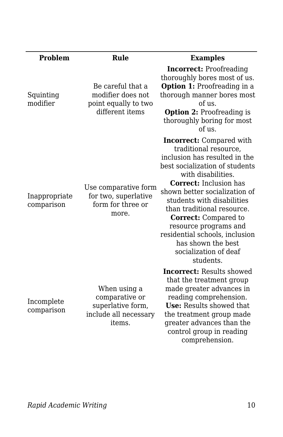| <b>Problem</b>              | Rule                                                                                   | <b>Examples</b>                                                                                                                                                                                                                                                                                                                                                                                                                       |
|-----------------------------|----------------------------------------------------------------------------------------|---------------------------------------------------------------------------------------------------------------------------------------------------------------------------------------------------------------------------------------------------------------------------------------------------------------------------------------------------------------------------------------------------------------------------------------|
| Squinting<br>modifier       | Be careful that a<br>modifier does not<br>point equally to two<br>different items      | <b>Incorrect:</b> Proofreading<br>thoroughly bores most of us.<br>Option 1: Proofreading in a<br>thorough manner bores most<br>of us.<br><b>Option 2: Proofreading is</b><br>thoroughly boring for most<br>of us.                                                                                                                                                                                                                     |
| Inappropriate<br>comparison | Use comparative form<br>for two, superlative<br>form for three or<br>more.             | <b>Incorrect:</b> Compared with<br>traditional resource,<br>inclusion has resulted in the<br>best socialization of students<br>with disabilities.<br><b>Correct:</b> Inclusion has<br>shown better socialization of<br>students with disabilities<br>than traditional resource.<br><b>Correct:</b> Compared to<br>resource programs and<br>residential schools, inclusion<br>has shown the best<br>socialization of deaf<br>students. |
| Incomplete<br>comparison    | When using a<br>comparative or<br>superlative form,<br>include all necessary<br>items. | <b>Incorrect:</b> Results showed<br>that the treatment group<br>made greater advances in<br>reading comprehension.<br>Use: Results showed that<br>the treatment group made<br>greater advances than the<br>control group in reading<br>comprehension.                                                                                                                                                                                 |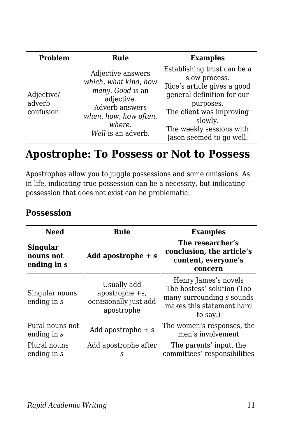| Problem                           | Rule                                                                                                                                                    | <b>Examples</b>                                                                                                                                                                                                       |
|-----------------------------------|---------------------------------------------------------------------------------------------------------------------------------------------------------|-----------------------------------------------------------------------------------------------------------------------------------------------------------------------------------------------------------------------|
| Adjective/<br>adverb<br>confusion | Adjective answers<br>which, what kind, how<br>many. Good is an<br>adjective.<br>Adverb answers<br>when, how, how often,<br>where.<br>Well is an adverb. | Establishing trust can be a<br>slow process.<br>Rice's article gives a good<br>general definition for our<br>purposes.<br>The client was improving<br>slowly.<br>The weekly sessions with<br>Jason seemed to go well. |

## **Apostrophe: To Possess or Not to Possess**

Apostrophes allow you to juggle possessions and some omissions. As in life, indicating true possession can be a necessity, but indicating possession that does not exist can be problematic.

| <b>Need</b>                                 | Rule                                                                    | <b>Examples</b>                                                                                                          |
|---------------------------------------------|-------------------------------------------------------------------------|--------------------------------------------------------------------------------------------------------------------------|
| <b>Singular</b><br>nouns not<br>ending in s | Add apostrophe $+ s$                                                    | The researcher's<br>conclusion, the article's<br>content, everyone's<br>concern                                          |
| Singular nouns<br>ending in $s$             | Usually add<br>apostrophe $+s$ ,<br>occasionally just add<br>apostrophe | Henry James's novels<br>The hostess' solution (Too<br>many surrounding s sounds<br>makes this statement hard<br>to say.) |
| Pural nouns not<br>ending in s              | Add apostrophe $+ s$                                                    | The women's responses, the<br>men's involvement                                                                          |
| Plural nouns<br>ending in s                 | Add apostrophe after<br>S                                               | The parents' input, the<br>committees' responsibilities                                                                  |

## **Possession**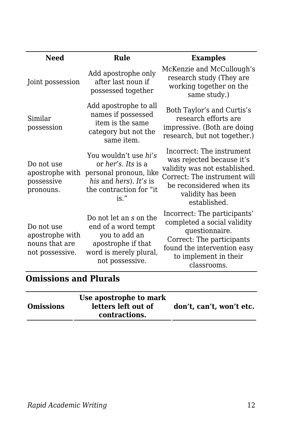| <b>Need</b>                                                        | Rule                                                                                                                                         | <b>Examples</b>                                                                                                                                                                          |
|--------------------------------------------------------------------|----------------------------------------------------------------------------------------------------------------------------------------------|------------------------------------------------------------------------------------------------------------------------------------------------------------------------------------------|
| Joint possession                                                   | Add apostrophe only<br>after last noun if<br>possessed together                                                                              | McKenzie and McCullough's<br>research study (They are<br>working together on the<br>same study.)                                                                                         |
| Similar<br>possession                                              | Add apostrophe to all<br>names if possessed<br>item is the same<br>category but not the<br>same item.                                        | Both Taylor's and Curtis's<br>research efforts are<br>impressive. (Both are doing<br>research, but not together.)                                                                        |
| Do not use<br>apostrophe with<br>possessive<br>pronouns.           | You wouldn't use hi's<br>or <i>her's. Its</i> is a<br>personal pronoun, like<br>his and hers). It's is<br>the contraction for "it<br>$is.$ " | Incorrect: The instrument<br>was rejected because it's<br>validity was not established.<br>Correct: The instrument will<br>be reconsidered when its<br>validity has been<br>established. |
| Do not use<br>apostrophe with<br>nouns that are<br>not possessive. | Do not let an s on the<br>end of a word tempt<br>you to add an<br>apostrophe if that<br>word is merely plural,<br>not possessive.            | Incorrect: The participants'<br>completed a social validity<br>questionnaire.<br>Correct: The participants<br>found the intervention easy<br>to implement in their<br>classrooms.        |

## **Omissions and Plurals**

|  | <b>Omissions</b> | Use apostrophe to mark<br>letters left out of<br>contractions. | don't, can't, won't etc. |
|--|------------------|----------------------------------------------------------------|--------------------------|
|--|------------------|----------------------------------------------------------------|--------------------------|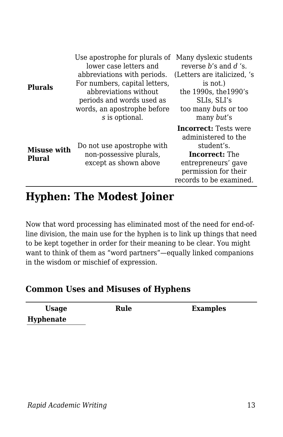| <b>Plurals</b>               | Use apostrophe for plurals of Many dyslexic students<br>lower case letters and<br>abbreviations with periods.<br>For numbers, capital letters,<br>abbreviations without<br>periods and words used as<br>words, an apostrophe before<br>s is optional. | reverse b's and d 's.<br>(Letters are italicized, 's<br>is not.)<br>the 1990s, the 1990's<br>SLIs, SLI's<br>too many buts or too<br>many <i>but's</i>                |
|------------------------------|-------------------------------------------------------------------------------------------------------------------------------------------------------------------------------------------------------------------------------------------------------|----------------------------------------------------------------------------------------------------------------------------------------------------------------------|
| <b>Misuse with</b><br>Plural | Do not use apostrophe with<br>non-possessive plurals,<br>except as shown above                                                                                                                                                                        | <b>Incorrect:</b> Tests were<br>administered to the<br>student's.<br><b>Incorrect:</b> The<br>entrepreneurs' gave<br>permission for their<br>records to be examined. |

## **Hyphen: The Modest Joiner**

Now that word processing has eliminated most of the need for end-ofline division, the main use for the hyphen is to link up things that need to be kept together in order for their meaning to be clear. You might want to think of them as "word partners"—equally linked companions in the wisdom or mischief of expression.

#### **Common Uses and Misuses of Hyphens**

| <b>Usage</b> | Rule | <b>Examples</b> |
|--------------|------|-----------------|
| Hyphenate    |      |                 |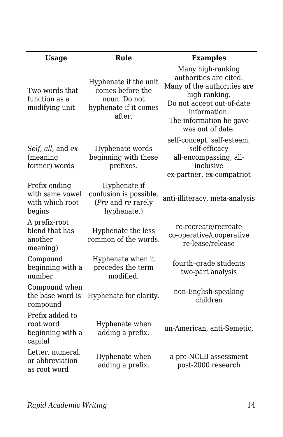| <b>Usage</b>                                                  | Rule                                                                                         | <b>Examples</b>                                                                                                                                                                         |
|---------------------------------------------------------------|----------------------------------------------------------------------------------------------|-----------------------------------------------------------------------------------------------------------------------------------------------------------------------------------------|
| Two words that<br>function as a<br>modifying unit             | Hyphenate if the unit<br>comes before the<br>noun. Do not<br>hyphenate if it comes<br>after. | Many high-ranking<br>authorities are cited.<br>Many of the authorities are<br>high ranking.<br>Do not accept out-of-date<br>information.<br>The information he gave<br>was out of date. |
| Self, all, and ex<br>(meaning<br>former) words                | Hyphenate words<br>beginning with these<br>prefixes.                                         | self-concept, self-esteem,<br>self-efficacy<br>all-encompassing, all-<br>inclusive<br>ex-partner, ex-compatriot                                                                         |
| Prefix ending<br>with same vowel<br>with which root<br>begins | Hyphenate if<br>confusion is possible.<br>(Pre and re rarely<br>hyphenate.)                  | anti-illiteracy, meta-analysis                                                                                                                                                          |
| A prefix-root<br>blend that has<br>another<br>meaning)        | Hyphenate the less<br>common of the words.                                                   | re-recreate/recreate<br>co-operative/cooperative<br>re-lease/release                                                                                                                    |
| Compound<br>beginning with a<br>number                        | Hyphenate when it<br>precedes the term<br>modified.                                          | fourth-grade students<br>two-part analysis                                                                                                                                              |
| Compound when<br>the base word is<br>compound                 | Hyphenate for clarity.                                                                       | non-English-speaking<br>children                                                                                                                                                        |
| Prefix added to<br>root word<br>beginning with a<br>capital   | Hyphenate when<br>adding a prefix.                                                           | un-American, anti-Semetic,                                                                                                                                                              |
| Letter, numeral,<br>or abbreviation<br>as root word           | Hyphenate when<br>adding a prefix.                                                           | a pre-NCLB assessment<br>post-2000 research                                                                                                                                             |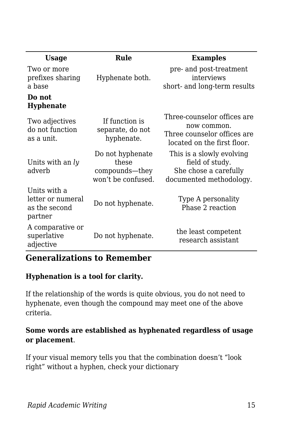| <b>Usage</b>                                                  | Rule                                                              | <b>Examples</b>                                                                                          |
|---------------------------------------------------------------|-------------------------------------------------------------------|----------------------------------------------------------------------------------------------------------|
| Two or more<br>prefixes sharing<br>a base                     | Hyphenate both.                                                   | pre- and post-treatment<br>interviews<br>short- and long-term results                                    |
| Do not<br><b>Hyphenate</b>                                    |                                                                   |                                                                                                          |
| Two adjectives<br>do not function<br>as a unit.               | If function is<br>separate, do not<br>hyphenate.                  | Three-counselor offices are<br>now common.<br>Three counselor offices are<br>located on the first floor. |
| Units with an $l$ $\nu$<br>adverb                             | Do not hyphenate<br>these<br>compounds-they<br>won't be confused. | This is a slowly evolving<br>field of study.<br>She chose a carefully<br>documented methodology.         |
| Units with a<br>letter or numeral<br>as the second<br>partner | Do not hyphenate.                                                 | Type A personality<br>Phase 2 reaction                                                                   |
| A comparative or<br>superlative<br>adjective                  | Do not hyphenate.                                                 | the least competent<br>research assistant                                                                |

### **Generalizations to Remember**

#### **Hyphenation is a tool for clarity.**

If the relationship of the words is quite obvious, you do not need to hyphenate, even though the compound may meet one of the above criteria.

#### **Some words are established as hyphenated regardless of usage or placement**.

If your visual memory tells you that the combination doesn't "look right" without a hyphen, check your dictionary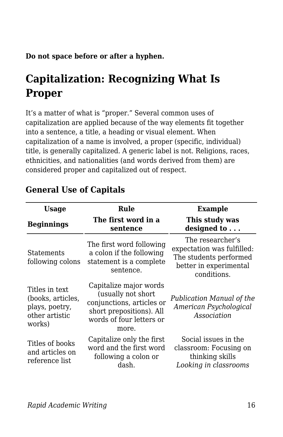**Do not space before or after a hyphen.**

# **Capitalization: Recognizing What Is Proper**

It's a matter of what is "proper." Several common uses of capitalization are applied because of the way elements fit together into a sentence, a title, a heading or visual element. When capitalization of a name is involved, a proper (specific, individual) title, is generally capitalized. A generic label is not. Religions, races, ethnicities, and nationalities (and words derived from them) are considered proper and capitalized out of respect.

| <b>Usage</b>                                                                      | Rule                                                                                                                                       | <b>Example</b>                                                                                                    |
|-----------------------------------------------------------------------------------|--------------------------------------------------------------------------------------------------------------------------------------------|-------------------------------------------------------------------------------------------------------------------|
| <b>Beginnings</b>                                                                 | The first word in a<br>sentence                                                                                                            | This study was<br>designed to                                                                                     |
| Statements<br>following colons                                                    | The first word following<br>a colon if the following<br>statement is a complete<br>sentence.                                               | The researcher's<br>expectation was fulfilled:<br>The students performed<br>better in experimental<br>conditions. |
| Titles in text<br>(books, articles,<br>plays, poetry,<br>other artistic<br>works) | Capitalize major words<br>(usually not short<br>conjunctions, articles or<br>short prepositions). All<br>words of four letters or<br>more. | Publication Manual of the<br>American Psychological<br>Association                                                |
| Titles of books<br>and articles on<br>reference list                              | Capitalize only the first<br>word and the first word<br>following a colon or<br>dash.                                                      | Social issues in the<br>classroom: Focusing on<br>thinking skills<br>Looking in classrooms                        |

## **General Use of Capitals**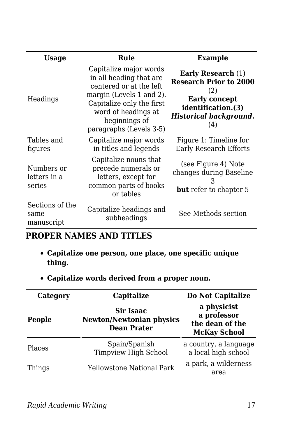| <b>Usage</b>                          | Rule                                                                                                                                                                                                     | <b>Example</b>                                                                                                                                          |
|---------------------------------------|----------------------------------------------------------------------------------------------------------------------------------------------------------------------------------------------------------|---------------------------------------------------------------------------------------------------------------------------------------------------------|
| Headings                              | Capitalize major words<br>in all heading that are<br>centered or at the left<br>margin (Levels 1 and 2).<br>Capitalize only the first<br>word of headings at<br>beginnings of<br>paragraphs (Levels 3-5) | <b>Early Research (1)</b><br><b>Research Prior to 2000</b><br>(2)<br><b>Early concept</b><br>identification.(3)<br><b>Historical background.</b><br>(4) |
| Tables and<br>figures                 | Capitalize major words<br>in titles and legends                                                                                                                                                          | Figure 1: Timeline for<br><b>Early Research Efforts</b>                                                                                                 |
| Numbers or<br>letters in a<br>series  | Capitalize nouns that<br>precede numerals or<br>letters, except for<br>common parts of books<br>or tables                                                                                                | (see Figure 4) Note<br>changes during Baseline<br><b>but</b> refer to chapter 5                                                                         |
| Sections of the<br>same<br>manuscript | Capitalize headings and<br>subheadings                                                                                                                                                                   | See Methods section                                                                                                                                     |

## **PROPER NAMES AND TITLES**

- **Capitalize one person, one place, one specific unique thing.**
- **Capitalize words derived from a proper noun.**

| Category      | Capitalize                                                         | Do Not Capitalize                                                    |
|---------------|--------------------------------------------------------------------|----------------------------------------------------------------------|
| People        | Sir Isaac<br><b>Newton/Newtonian physics</b><br><b>Dean Prater</b> | a physicist<br>a professor<br>the dean of the<br><b>McKay School</b> |
| <b>Places</b> | Spain/Spanish<br><b>Timpview High School</b>                       | a country, a language<br>a local high school                         |
| Things        | <b>Yellowstone National Park</b>                                   | a park, a wilderness<br>area                                         |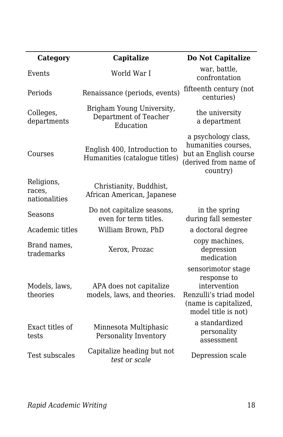| Category                              | Capitalize                                                      | Do Not Capitalize                                                                                                           |
|---------------------------------------|-----------------------------------------------------------------|-----------------------------------------------------------------------------------------------------------------------------|
| Events                                | World War I                                                     | war, battle,<br>confrontation                                                                                               |
| Periods                               | Renaissance (periods, events)                                   | fifteenth century (not<br>centuries)                                                                                        |
| Colleges,<br>departments              | Brigham Young University,<br>Department of Teacher<br>Education | the university<br>a department                                                                                              |
| Courses                               | English 400, Introduction to<br>Humanities (catalogue titles)   | a psychology class,<br>humanities courses,<br>but an English course<br>(derived from name of<br>country)                    |
| Religions,<br>races,<br>nationalities | Christianity, Buddhist,<br>African American, Japanese           |                                                                                                                             |
| Seasons                               | Do not capitalize seasons,<br>even for term titles.             | in the spring<br>during fall semester                                                                                       |
| Academic titles                       | William Brown, PhD                                              | a doctoral degree                                                                                                           |
| Brand names,<br>trademarks            | Xerox, Prozac                                                   | copy machines,<br>depression<br>medication                                                                                  |
| Models, laws,<br>theories             | APA does not capitalize<br>models, laws, and theories.          | sensorimotor stage<br>response to<br>intervention<br>Renzulli's triad model<br>(name is capitalized,<br>model title is not) |
| Exact titles of<br>tests              | Minnesota Multiphasic<br>Personality Inventory                  | a standardized<br>personality<br>assessment                                                                                 |
| Test subscales                        | Capitalize heading but not<br>test or scale                     | Depression scale                                                                                                            |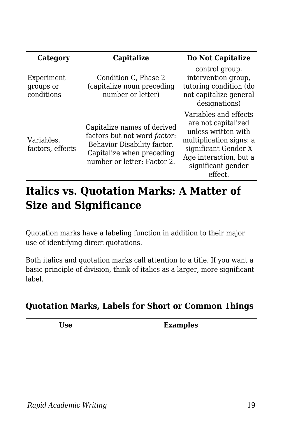| Category                              | Capitalize                                                                                                                                                     | Do Not Capitalize                                                                                                                                                                 |
|---------------------------------------|----------------------------------------------------------------------------------------------------------------------------------------------------------------|-----------------------------------------------------------------------------------------------------------------------------------------------------------------------------------|
| Experiment<br>groups or<br>conditions | Condition C, Phase 2<br>(capitalize noun preceding<br>number or letter)                                                                                        | control group,<br>intervention group,<br>tutoring condition (do<br>not capitalize general<br>designations)                                                                        |
| Variables,<br>factors, effects        | Capitalize names of derived<br>factors but not word <i>factor</i> :<br>Behavior Disability factor.<br>Capitalize when preceding<br>number or letter: Factor 2. | Variables and effects<br>are not capitalized<br>unless written with<br>multiplication signs: a<br>significant Gender X<br>Age interaction, but a<br>significant gender<br>effect. |

# **Italics vs. Quotation Marks: A Matter of Size and Significance**

Quotation marks have a labeling function in addition to their major use of identifying direct quotations.

Both italics and quotation marks call attention to a title. If you want a basic principle of division, think of italics as a larger, more significant label.

## **Quotation Marks, Labels for Short or Common Things**

**Use Examples**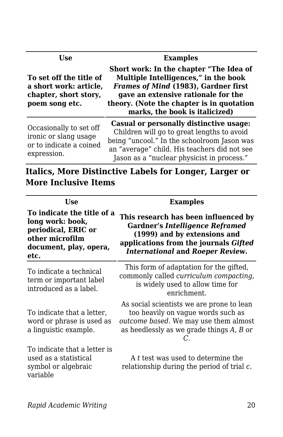| Use                                                                                          | <b>Examples</b>                                                                                                                                                                                                                                                                                                                                                                                              |  |
|----------------------------------------------------------------------------------------------|--------------------------------------------------------------------------------------------------------------------------------------------------------------------------------------------------------------------------------------------------------------------------------------------------------------------------------------------------------------------------------------------------------------|--|
| To set off the title of<br>a short work: article,<br>chapter, short story,<br>poem song etc. | Short work: In the chapter "The Idea of<br>Multiple Intelligences," in the book<br>Frames of Mind (1983), Gardner first<br>gave an extensive rationale for the<br>theory. (Note the chapter is in quotation<br>marks, the book is italicized)                                                                                                                                                                |  |
| Occasionally to set off<br>ironic or slang usage                                             | Casual or personally distinctive usage:<br>Children will go to great lengths to avoid<br>$\frac{1}{2}$ $\frac{1}{2}$ $\frac{1}{2}$ $\frac{1}{2}$ $\frac{1}{2}$ $\frac{1}{2}$ $\frac{1}{2}$ $\frac{1}{2}$ $\frac{1}{2}$ $\frac{1}{2}$ $\frac{1}{2}$ $\frac{1}{2}$ $\frac{1}{2}$ $\frac{1}{2}$ $\frac{1}{2}$ $\frac{1}{2}$ $\frac{1}{2}$ $\frac{1}{2}$ $\frac{1}{2}$ $\frac{1}{2}$ $\frac{1}{2}$ $\frac{1}{2}$ |  |

or to indicate a coined expression.

being "uncool." In the schoolroom Jason was an "average" child. His teachers did not see Jason as a "nuclear physicist in process."

**Italics, More Distinctive Labels for Longer, Larger or More Inclusive Items**

| Use                                                                                                                        | <b>Examples</b>                                                                                                                                                                                    |  |
|----------------------------------------------------------------------------------------------------------------------------|----------------------------------------------------------------------------------------------------------------------------------------------------------------------------------------------------|--|
| To indicate the title of a<br>long work: book,<br>periodical, ERIC or<br>other microfilm<br>document, play, opera,<br>etc. | This research has been influenced by<br><b>Gardner's Intelligence Reframed</b><br>(1999) and by extensions and<br>applications from the journals Gifted<br><b>International and Roeper Review.</b> |  |
| To indicate a technical<br>term or important label<br>introduced as a label.                                               | This form of adaptation for the gifted,<br>commonly called <i>curriculum compacting</i> ,<br>is widely used to allow time for<br>enrichment.                                                       |  |
| To indicate that a letter.<br>word or phrase is used as<br>a linguistic example.                                           | As social scientists we are prone to lean<br>too heavily on vague words such as<br>outcome based. We may use them almost<br>as heedlessly as we grade things A, B or                               |  |
| To indicate that a letter is<br>used as a statistical<br>symbol or algebraic<br>variable                                   | A t test was used to determine the<br>relationship during the period of trial $c$ .                                                                                                                |  |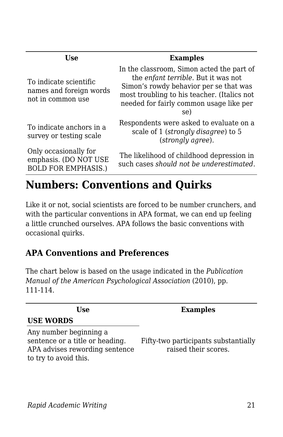| Use                                                                          | <b>Examples</b>                                                                                                                                                                                                             |
|------------------------------------------------------------------------------|-----------------------------------------------------------------------------------------------------------------------------------------------------------------------------------------------------------------------------|
| To indicate scientific<br>names and foreign words<br>not in common use       | In the classroom, Simon acted the part of<br>the enfant terrible. But it was not<br>Simon's rowdy behavior per se that was<br>most troubling to his teacher. (Italics not<br>needed for fairly common usage like per<br>se) |
| To indicate anchors in a<br>survey or testing scale                          | Respondents were asked to evaluate on a<br>scale of 1 (strongly disagree) to 5<br>(strongly agree).                                                                                                                         |
| Only occasionally for<br>emphasis. (DO NOT USE<br><b>BOLD FOR EMPHASIS.)</b> | The likelihood of childhood depression in<br>such cases should not be underestimated.                                                                                                                                       |
|                                                                              |                                                                                                                                                                                                                             |

# **Numbers: Conventions and Quirks**

Like it or not, social scientists are forced to be number crunchers, and with the particular conventions in APA format, we can end up feeling a little crunched ourselves. APA follows the basic conventions with occasional quirks.

## **APA Conventions and Preferences**

The chart below is based on the usage indicated in the *Publication Manual of the American Psychological Association* (2010), pp. 111-114.

| Use                                                                                                                  | <b>Examples</b>                                              |
|----------------------------------------------------------------------------------------------------------------------|--------------------------------------------------------------|
| <b>USE WORDS</b>                                                                                                     |                                                              |
| Any number beginning a<br>sentence or a title or heading.<br>APA advises rewording sentence<br>to try to avoid this. | Fifty-two participants substantially<br>raised their scores. |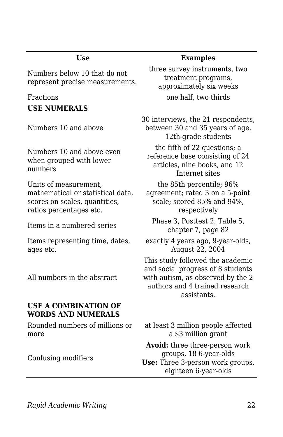Numbers below 10 that do not represent precise measurements.

**USE NUMERALS**

Numbers 10 and above

Numbers 10 and above even when grouped with lower numbers

Units of measurement, mathematical or statistical data, scores on scales, quantities, ratios percentages etc.

Items representing time, dates, ages etc.

All numbers in the abstract

#### **USE A COMBINATION OF WORDS AND NUMERALS**

Rounded numbers of millions or more

Confusing modifiers

#### **Use Examples**

three survey instruments, two treatment programs, approximately six weeks Fractions **but a contract one half**, two thirds

> 30 interviews, the 21 respondents, between 30 and 35 years of age, 12th-grade students the fifth of 22 questions; a reference base consisting of 24 articles, nine books, and 12 Internet sites the 85th percentile; 96% agreement; rated 3 on a 5-point

scale; scored 85% and 94%, respectively

Items in a numbered series Phase 3, Posttest 2, Table 5, chapter 7, page 82

> exactly 4 years ago, 9-year-olds, August 22, 2004

This study followed the academic and social progress of 8 students with autism, as observed by the 2 authors and 4 trained research assistants.

at least 3 million people affected a \$3 million grant

**Avoid:** three three-person work groups, 18 6-year-olds **Use:** Three 3-person work groups, eighteen 6-year-olds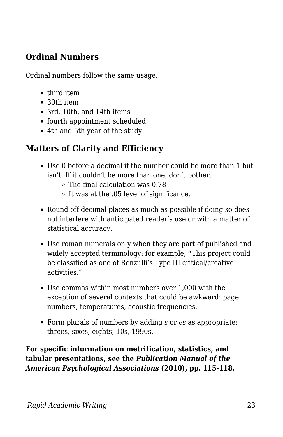## **Ordinal Numbers**

Ordinal numbers follow the same usage.

- third item
- 30th item
- 3rd, 10th, and 14th items
- fourth appointment scheduled
- 4th and 5th year of the study

## **Matters of Clarity and Efficiency**

- Use 0 before a decimal if the number could be more than 1 but isn't. If it couldn't be more than one, don't bother.
	- $\circ$  The final calculation was 0.78
	- $\circ$  It was at the .05 level of significance.
- Round off decimal places as much as possible if doing so does not interfere with anticipated reader's use or with a matter of statistical accuracy.
- Use roman numerals only when they are part of published and widely accepted terminology: for example, **"**This project could be classified as one of Renzulli's Type III critical/creative activities."
- Use commas within most numbers over 1,000 with the exception of several contexts that could be awkward: page numbers, temperatures, acoustic frequencies.
- Form plurals of numbers by adding *s* or *es* as appropriate: threes, sixes, eights, 10s, 1990s.

**For specific information on metrification, statistics, and tabular presentations, see the** *Publication Manual of the American Psychological Associations* **(2010), pp. 115-118.**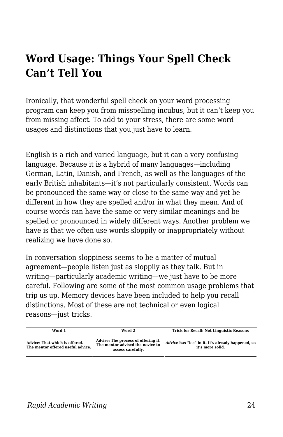# **Word Usage: Things Your Spell Check Can't Tell You**

Ironically, that wonderful spell check on your word processing program can keep you from misspelling incubus, but it can't keep you from missing affect. To add to your stress, there are some word usages and distinctions that you just have to learn.

English is a rich and varied language, but it can a very confusing language. Because it is a hybrid of many languages—including German, Latin, Danish, and French, as well as the languages of the early British inhabitants—it's not particularly consistent. Words can be pronounced the same way or close to the same way and yet be different in how they are spelled and/or in what they mean. And of course words can have the same or very similar meanings and be spelled or pronounced in widely different ways. Another problem we have is that we often use words sloppily or inappropriately without realizing we have done so.

In conversation sloppiness seems to be a matter of mutual agreement—people listen just as sloppily as they talk. But in writing—particularly academic writing—we just have to be more careful. Following are some of the most common usage problems that trip us up. Memory devices have been included to help you recall distinctions. Most of these are not technical or even logical reasons—just tricks.

| Word 1                                                              | Word 2                                                                                       | <b>Trick for Recall: Not Linguistic Reasons</b>                       |
|---------------------------------------------------------------------|----------------------------------------------------------------------------------------------|-----------------------------------------------------------------------|
| Advice: That which is offered.<br>The mentor offered useful advice. | Advise: The process of offering it.<br>The mentor advised the novice to<br>assess carefully. | Advice has "ice" in it. It's already happened, so<br>it's more solid. |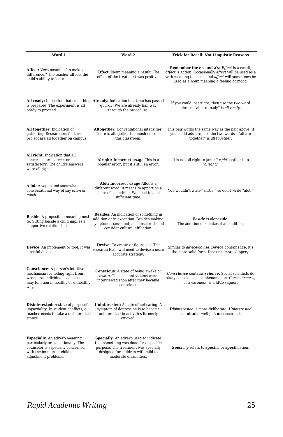| Word 1                                                                                                                                                                | Word 2                                                                                                                                                                                         | <b>Trick for Recall: Not Linguistic Reasons</b>                                                                                                                                                                     |
|-----------------------------------------------------------------------------------------------------------------------------------------------------------------------|------------------------------------------------------------------------------------------------------------------------------------------------------------------------------------------------|---------------------------------------------------------------------------------------------------------------------------------------------------------------------------------------------------------------------|
| Affect: Verb meaning "to make a<br>difference." The teacher affects the<br>child's ability to learn.                                                                  | <b>Effect:</b> Noun meaning a result. The<br>effect of the treatment was positive.                                                                                                             | <b>Remember the e's and a's: Effect is a result;</b><br>affect is action. Occasionally effect will be used as a<br>verb meaning to cause, and affect will sometimes be<br>used as a noun meaning a feeling or mood. |
| is prepared. The experiment is all<br>ready to proceed.                                                                                                               | All ready: Indication that something Already: Indication that time has passed<br>quickly. We are already half way<br>through the procedure.                                                    | If you could insert are, then use the two-word<br>phrase: "all are ready" is all ready.                                                                                                                             |
| All together: Indication of<br>gathering. Researchers for this<br>project are all together on campus.                                                                 | Altogether: Conversational intensifier.<br>There is altogether too much noise in<br>this classroom.                                                                                            | This pair works the same way as the pair above: If<br>you could add are, use the two words-"all are<br>together" is all together.                                                                                   |
| All right: Indication that all<br>concerned are correct or<br>satisfactory. The child's answers<br>were all right.                                                    | Alright: Incorrect usage This is a<br>popular error, but it's still an error.                                                                                                                  | It is not all right to jam all right togther into<br>"alright."                                                                                                                                                     |
| A lot: A vague and somewhat<br>conversational way of say often or<br>much.                                                                                            | Alot: Incorrect usage Allot is a<br>different word; it means to apportion a<br>share of something. We need to allot<br>sufficient time.                                                        | You wouldn't write "alittle," so don't write "alot."                                                                                                                                                                |
| <b>Beside:</b> A preposition meaning next<br>to. Sitting beside a child implies a<br>supportive relationship.                                                         | <b>Besides:</b> An indication of something in<br>addition or in exception. Besides making<br>symptom assessment, a counselor should<br>consider cultural affiliation.                          | Beside is alongside.<br>The addition of s makes it an addition.                                                                                                                                                     |
| Device: An implement or tool. It was<br>a useful device.                                                                                                              | <b>Devise:</b> To create or figure out. The<br>research team will need to devise a more<br>accurate strategy.                                                                                  | Similar to advice/advise. Device contains ice; it's<br>the more solid form. Devise is more slippery.                                                                                                                |
| <b>Conscience:</b> A person's intuitive<br>mechanism for telling right from<br>wrong. An individual's conscience<br>may function in healthy or unhealthy<br>ways.     | Conscious: A state of being awake or<br>aware. The accident victims were<br>interviewed soon after they became<br>conscious.                                                                   | Conscience contains science. Social scientists do<br>study conscience as a phenomenon. Consciousness,<br>or awareness, is a little vaguer.                                                                          |
| <b>Disinterested:</b> A state of purposeful<br>impartiality. In student conflicts, a<br>teacher needs to take a disinterested<br>stance.                              | Uninterested: A state of not caring. A<br>symptom of depression is to become<br>uninterested in activities formerly<br>enjoyed.                                                                | Disinterested is more deliberate. Uninterested<br>is-uh, uh-well just unconcerned.                                                                                                                                  |
| <b>Especially:</b> An adverb meaning<br>particularly or exceptionally. The<br>counselor is especially concerned<br>with the immigrant child's<br>adjustment problems. | <b>Specially:</b> An adverb used to indicate<br>that something was done for a specific<br>purpose. The treatment was specially<br>designed for children with mild to<br>moderate disabilities. | <b>Specially</b> refers to specific or specification.                                                                                                                                                               |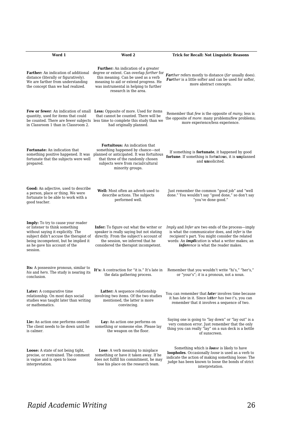| Word 1                                                                                                                                                                                                                                          | Word 2                                                                                                                                                                                                                           | <b>Trick for Recall: Not Linguistic Reasons</b>                                                                                                                                                                                                                                 |
|-------------------------------------------------------------------------------------------------------------------------------------------------------------------------------------------------------------------------------------------------|----------------------------------------------------------------------------------------------------------------------------------------------------------------------------------------------------------------------------------|---------------------------------------------------------------------------------------------------------------------------------------------------------------------------------------------------------------------------------------------------------------------------------|
| distance (literally or figuratively).<br>We are farther from understanding<br>the concept than we had realized.                                                                                                                                 | <b>Further:</b> An indication of a greater<br>this meaning. Can be used as a verb<br>meaning to aid or extend progress. He<br>was instrumental in helping to further<br>research in the area.                                    | Farther: An indication of additional degree or extent. Can overlap farther for Farther refers mostly to distance (far usually does).<br>Further is a little softer and can be used for softer,<br>more abstract concepts.                                                       |
| quantity, used for items that could<br>in Classroom 1 than in Classroom 2.                                                                                                                                                                      | Few or fewer: An indication of small Less: Opposite of more. Used for items<br>that cannot be counted. There will be<br>be counted. There are fewer subjects less time to complete this study than we<br>had originally planned. | Remember that few is the opposite of many; less is<br>the opposite of <i>more</i> : many problems/few problems;<br>more experience/less experience.                                                                                                                             |
| Fortunate: An indication that<br>something positive happened. It was<br>fortunate that the subjects were well<br>prepared.                                                                                                                      | Fortuitous: An indication that<br>something happened by chance—not<br>planned or anticipated. It was fortuitous<br>that three of the randomly chosen<br>subjects were from racial/cultural<br>minority groups.                   | If something is fortunate, it happened by good<br>fortune. If something is fortuitous, it is unplanned<br>and <i>unsolicited</i> .                                                                                                                                              |
| <b>Good:</b> An adjective, used to describe<br>a person, place or thing. We were<br>fortunate to be able to work with a<br>good teacher.                                                                                                        | Well: Most often an adverb used to<br>describe actions. The subjects<br>performed well.                                                                                                                                          | Just remember the common "good job" and "well<br>done." You wouldn't say "good done," so don't say<br>"you've done good."                                                                                                                                                       |
| <b>Imply:</b> To try to cause your reader<br>or listener to think something<br>without saying it explicitly. The<br>subject didn't accuse the therapist of<br>being incompetent, but he implied it<br>as he gave his account of the<br>session. | <b>Infer:</b> To figure out what the writer or<br>speaker is really saying but not stating<br>directly. From the subject's account of<br>the session, we inferred that he<br>considered the therapist incompetent.               | <i>Imply</i> and <i>Infer</i> are two ends of the process—imply<br>is what the communicator does, and infer is the<br>recipient's part. You might consider the related<br>words: An <i>implication</i> is what a writer makes; an<br><i>inference</i> is what the reader makes. |
| Its: A possessive pronoun, similar to<br>his and hers. The study is nearing its<br>conclusion.                                                                                                                                                  | It's: A contraction for "it is." It's late in<br>the data gathering process.                                                                                                                                                     | Remember that you wouldn't write "hi's," "her's,"<br>or "your's"; it is a pronoun, not a noun.                                                                                                                                                                                  |
| Later: A comparative time<br>relationship. On most days social<br>studies was taught later than writing<br>or mathematics.                                                                                                                      | Latter: A sequence relationship<br>involving two items. Of the two studies<br>mentioned, the latter is more<br>convincing.                                                                                                       | You can remember that <i>later</i> involves time because<br>it has late in it. Since latter has two t's, you can<br>remember that it involves a sequence of two.                                                                                                                |
| Lie: An action one performs oneself:<br>The client needs to lie down until he<br>is calmer.                                                                                                                                                     | Lay: An action one performs on<br>something or someone else. Please lay<br>the weapon on the floor.                                                                                                                              | Saying one is going to "lay down" or "lay out" is a<br>very common error. Just remember that the only<br>thing you can really "lay" on a sun deck is a bottle<br>of sunscreen.                                                                                                  |
| <b>Loose:</b> A state of not being tight,<br>precise, or restrained. The comment<br>is vague and is open to loose<br>interpretation.                                                                                                            | <b>Lose</b> : A verb meaning to misplace<br>something or have it taken away. If he<br>does not fulfill his commitment, he may<br>lose his place on the research team.                                                            | Something which is <b>loo</b> se is likely to have<br>loopholes. Occasionally loose is used as a verb to<br>indicate the action of making something loose: The<br>judge has been known to loose the bonds of strict<br>interpretation.                                          |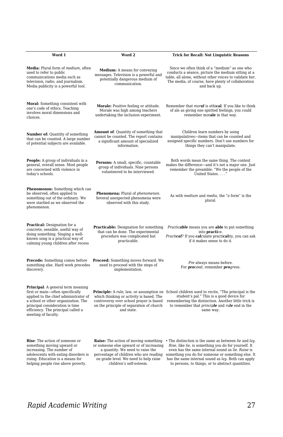| Word 1                                                                                                                                                                                                                                                       | Word 2                                                                                                                                                                                                                                    | <b>Trick for Recall: Not Linguistic Reasons</b>                                                                                                                                                                                                                                                                                     |
|--------------------------------------------------------------------------------------------------------------------------------------------------------------------------------------------------------------------------------------------------------------|-------------------------------------------------------------------------------------------------------------------------------------------------------------------------------------------------------------------------------------------|-------------------------------------------------------------------------------------------------------------------------------------------------------------------------------------------------------------------------------------------------------------------------------------------------------------------------------------|
| Media: Plural form of medium, often<br>used to refer to public<br>communications media such as<br>television, radio, and journalism.<br>Media publicity is a powerful tool.                                                                                  | <b>Medium:</b> A means for conveying<br>messages. Television is a powerful and<br>potentially dangerous medium of<br>communication.                                                                                                       | Since we often think of a "medium" as one who<br>conducts a séance, picture the medium sitting at a<br>table, all alone, without other voices to validate her.<br>The media, of course, have plenty of collaboration<br>and back up.                                                                                                |
| Moral: Something consistent with<br>one's code of ethics. Teaching<br>involves moral dimensions and<br>choices.                                                                                                                                              | Morale: Positive feeling or attitude.<br>Morale was high among teachers<br>undertaking the inclusion experiment.                                                                                                                          | Remember that <i>moral</i> is ethical. If you like to think<br>of ale as giving one spirited feelings, you could<br>remember morale in that way.                                                                                                                                                                                    |
| Number of: Quantity of something<br>that can be counted. A large number<br>of potential subjects are available.                                                                                                                                              | Amount of: Quantity of something that<br>cannot be counted. The report contains<br>a significant amount of specialized<br>information.                                                                                                    | Children learn numbers by using<br>manipulatives-items that can be counted and<br>assigned specific numbers. Don't use numbers for<br>things they can't manipulate.                                                                                                                                                                 |
| <b>People:</b> A group of individuals in a<br>general, overall sense. Most people<br>are concerned with violence in<br>today's schools.                                                                                                                      | Persons: A small, specific, countable<br>group of individuals. Nine persons<br>volunteered to be interviewed.                                                                                                                             | Both words mean the same thing. The context<br>makes the difference—and it's not a major one. Just<br>remember the preamble: "We the people of the<br>United States"                                                                                                                                                                |
| <b>Phenomenon:</b> Something which can<br>be observed, often applied to<br>something out of the ordinary. We<br>were startled as we observed the<br>phenomenon.                                                                                              | Phenomena: Plural of phenomenon.<br>Several unexpected phenomena were<br>observed with this study.                                                                                                                                        | As with medium and media, the "a form" is the<br>plural.                                                                                                                                                                                                                                                                            |
| <b>Practical:</b> Designation for a<br>concrete, sensible, useful way of<br>doing something. Singing a well-<br>known song is a practical way of<br>calming young children after recess                                                                      | <b>Practicable:</b> Designation for something<br>that can be done. The experimental<br>procedure was complicated but<br>practicable.                                                                                                      | Practicable means you are able to put something<br>into <b>practice</b> .<br>Practical? If you calculate practicality, you can ask<br>if it makes sense to do it.                                                                                                                                                                   |
| <b>Precede:</b> Something comes before<br>something else. Hard work precedes<br>discovery.                                                                                                                                                                   | <b>Proceed:</b> Something moves forward. We<br>need to proceed with the steps of<br>implementation.                                                                                                                                       | Pre always means before.<br>For <b>proceed</b> , remember <i>progress</i> .                                                                                                                                                                                                                                                         |
| <b>Principal:</b> A general term meaning<br>first or main-often specifically<br>applied to the chief administrator of<br>a school or other organization. The<br>principal consideration is time<br>efficiency. The principal called a<br>meeting of faculty. | which thinking or activity is based. The<br>controversy over school prayer is based<br>on the principle of separation of church<br>and state.                                                                                             | Principle: A rule, law, or assumption on School children used to recite, "The principal is the<br>student's pal." This is a good device for<br>remembering the distinction. Another little trick is<br>to remember that <i>principle</i> and <i>rule</i> end in the<br>same way.                                                    |
| <b>Rise:</b> The action of someone or<br>something moving upward or<br>increasing. The number of<br>adolescents with eating disorders is<br>rising. Education is a means for<br>helping people rise above poverty.                                           | <b>Raise:</b> The action of moving something<br>or someone else upward or of increasing<br>a quantity. We need to raise the<br>percentage of children who are reading<br>on grade level. We need to help raise<br>children's self-esteem. | . The distinction is the same as between lie and lay.<br>Rise, like lie, is something you do for yourself. It<br>even has the same internal sound as lie. Raise is<br>something you do for someone or something else. It<br>has the same internal sound as lay. Both can apply<br>to persons, to things, or to abstract quantities. |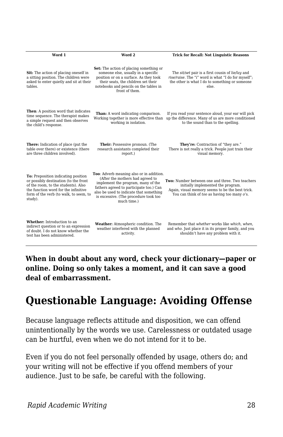| Word 1                                                                                                                                                                                                           | Word 2                                                                                                                                                                                                                                                           | <b>Trick for Recall: Not Linguistic Reasons</b>                                                                                                                                           |
|------------------------------------------------------------------------------------------------------------------------------------------------------------------------------------------------------------------|------------------------------------------------------------------------------------------------------------------------------------------------------------------------------------------------------------------------------------------------------------------|-------------------------------------------------------------------------------------------------------------------------------------------------------------------------------------------|
| Sit: The action of placing oneself in<br>a sitting position. The children were<br>asked to enter quietly and sit at their<br>tables.                                                                             | <b>Set:</b> The action of placing something or<br>someone else, usually in a specific<br>position or on a surface. As they took<br>their seats, the children set their<br>notebooks and pencils on the tables in<br>front of them.                               | The sit/set pair is a first cousin of lie/lay and<br>rise/raise. The "i" word is what "I do for myself";<br>the other is what I do to something or someone<br>else.                       |
| Then: A position word that indicates<br>time sequence. The therapist makes<br>a simple request and then observes<br>the child's response.                                                                        | Than: A word indicating comparison.<br>Working together is more effective than<br>working in isolation.                                                                                                                                                          | If you read your sentence aloud, your ear will pick<br>up the difference. Many of us are more conditioned<br>to the sound than to the spelling.                                           |
| There: Indication of place (put the<br>table over there) or existence (there<br>are three children involved).                                                                                                    | Their: Possessive pronoun. (The<br>research assistants completed their<br>report.)                                                                                                                                                                               | They're: Contraction of "they are."<br>There is not really a trick. People just train their<br>visual memory.                                                                             |
| To: Preposition indicating position<br>or possibly destination (to the front<br>of the room, to the students), Also<br>the function word for the infinitive<br>form of the verb (to walk, to seem, to<br>study). | Too: Adverb meaning also or in addition.<br>(After the mothers had agreed to<br>implement the program, many of the<br>fathers agreed to participate too.) Can<br>also be used to indicate that something<br>is excessive. (The procedure took too<br>much time.) | Two: Number between one and three. Two teachers<br>initially implemented the program.<br>Again, visual memory seems to be the best trick.<br>You can think of too as having too many o's. |
| Whether: Introduction to an<br>indirect question or to an expression<br>of doubt. I do not know whether the<br>test has been administered.                                                                       | Weather: Atmospheric condition. The<br>weather interfered with the planned<br>activity.                                                                                                                                                                          | Remember that whether works like which, when.<br>and who. Just place it in its proper family, and you<br>shouldn't have any problem with it.                                              |

**When in doubt about any word, check your dictionary—paper or online. Doing so only takes a moment, and it can save a good deal of embarrassment.**

# **Questionable Language: Avoiding Offense**

Because language reflects attitude and disposition, we can offend unintentionally by the words we use. Carelessness or outdated usage can be hurtful, even when we do not intend for it to be.

Even if you do not feel personally offended by usage, others do; and your writing will not be effective if you offend members of your audience. Just to be safe, be careful with the following.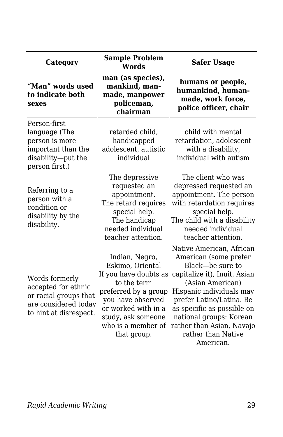| Category                                                                                                         | <b>Sample Problem</b><br>Words                                                                                                                                                                            | <b>Safer Usage</b>                                                                                                                                                                                                                                                                                         |
|------------------------------------------------------------------------------------------------------------------|-----------------------------------------------------------------------------------------------------------------------------------------------------------------------------------------------------------|------------------------------------------------------------------------------------------------------------------------------------------------------------------------------------------------------------------------------------------------------------------------------------------------------------|
| "Man" words used<br>to indicate both<br>sexes                                                                    | man (as species),<br>mankind, man-<br>made, manpower<br>policeman,<br>chairman                                                                                                                            | humans or people,<br>humankind, human-<br>made, work force,<br>police officer, chair                                                                                                                                                                                                                       |
| Person-first<br>language (The<br>person is more<br>important than the<br>disability-put the<br>person first.)    | retarded child,<br>handicapped<br>adolescent, autistic<br>individual                                                                                                                                      | child with mental<br>retardation, adolescent<br>with a disability,<br>individual with autism                                                                                                                                                                                                               |
| Referring to a<br>person with a<br>condition or<br>disability by the<br>disability.                              | The depressive<br>requested an<br>appointment.<br>The retard requires<br>special help.<br>The handicap<br>needed individual<br>teacher attention.                                                         | The client who was<br>depressed requested an<br>appointment. The person<br>with retardation requires<br>special help.<br>The child with a disability<br>needed individual<br>teacher attention.                                                                                                            |
| Words formerly<br>accepted for ethnic<br>or racial groups that<br>are considered today<br>to hint at disrespect. | Indian, Negro,<br>Eskimo, Oriental<br>If you have doubts as<br>to the term<br>preferred by a group<br>you have observed<br>or worked with in a<br>study, ask someone<br>who is a member of<br>that group. | Native American, African<br>American (some prefer<br>Black—be sure to<br>capitalize it), Inuit, Asian<br>(Asian American)<br>Hispanic individuals may<br>prefer Latino/Latina. Be<br>as specific as possible on<br>national groups: Korean<br>rather than Asian, Navajo<br>rather than Native<br>American. |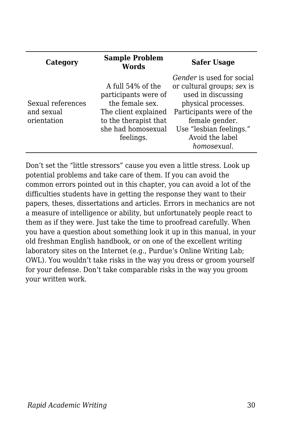| Category                                       | <b>Sample Problem</b><br><b>Words</b>                                                                                                            | <b>Safer Usage</b>                                                                                                                                                                                              |
|------------------------------------------------|--------------------------------------------------------------------------------------------------------------------------------------------------|-----------------------------------------------------------------------------------------------------------------------------------------------------------------------------------------------------------------|
| Sexual references<br>and sexual<br>orientation | A full 54% of the<br>participants were of<br>the female sex.<br>The client explained<br>to the therapist that<br>she had homosexual<br>feelings. | Gender is used for social<br>or cultural groups; sex is<br>used in discussing<br>physical processes.<br>Participants were of the<br>female gender.<br>Use "lesbian feelings."<br>Avoid the label<br>homosexual. |

Don't set the "little stressors" cause you even a little stress. Look up potential problems and take care of them. If you can avoid the common errors pointed out in this chapter, you can avoid a lot of the difficulties students have in getting the response they want to their papers, theses, dissertations and articles. Errors in mechanics are not a measure of intelligence or ability, but unfortunately people react to them as if they were. Just take the time to proofread carefully. When you have a question about something look it up in this manual, in your old freshman English handbook, or on one of the excellent writing laboratory sites on the Internet (e.g., Purdue's Online Writing Lab; OWL). You wouldn't take risks in the way you dress or groom yourself for your defense. Don't take comparable risks in the way you groom your written work.